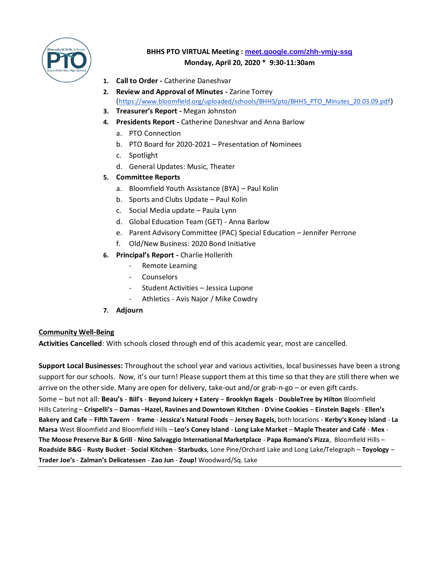

# **BHHS PTO VIRTUAL Meeting : [meet.google.com/zhh-vmjy-ssg](https://meet.google.com/zhh-vmjy-ssg) Monday, April 20, 2020 \* 9:30-11:30am**

- **1. Call to Order -** Catherine Daneshvar
- **2. Review and Approval of Minutes -** Zarine Torrey ([https://www.bloomfield.org/uploaded/schools/BHHS/pto/BHHS\\_PTO\\_Minutes\\_20.03.09.pdf](https://www.bloomfield.org/uploaded/schools/BHHS/pto/BHHS_PTO_Minutes_20.03.09.pdf))
- **3. Treasurer's Report -** Megan Johnston
- **4. Presidents Report -** Catherine Daneshvar and Anna Barlow
	- a. PTO Connection
	- b. PTO Board for 2020-2021 Presentation of Nominees
	- c. Spotlight
	- d. General Updates: Music, Theater

#### **5. Committee Reports**

- a. Bloomfield Youth Assistance (BYA) Paul Kolin
- b. Sports and Clubs Update Paul Kolin
- c. Social Media update Paula Lynn
- d. Global Education Team (GET) Anna Barlow
- e. Parent Advisory Committee (PAC) Special Education Jennifer Perrone
- f. Old/New Business: 2020 Bond Initiative
- **6. Principal's Report -** Charlie Hollerith
	- Remote Learning
	- Counselors
	- Student Activities Jessica Lupone
	- Athletics Avis Najor / Mike Cowdry
- **7. Adjourn**

#### **Community Well-Being**

**Activities Cancelled**: With schools closed through end of this academic year, most are cancelled.

**Support Local Businesses:** Throughout the school year and various activities, local businesses have been a strong support for our schools. Now, it's our turn! Please support them at this time so that they are still there when we arrive on the other side. Many are open for delivery, take-out and/or grab-n-go – or even gift cards. Some – but not all: **Beau's** - **[Bill's](https://www.facebook.com/BillsBloomfieldHills/?__tn__=%2CdKH-R-R&eid=ARBVcqXkVBaTXZ43jcG5pBLN7ZrtCZPG60_xNpb51tdME7vhPPlhEetk_x4pYJbzNOtPxw6tp40Lgoze&fref=mentions&hc_location=group)** - **[Beyond Juicery + Eatery](https://www.facebook.com/BeyondJuiceMapleRd/?__tn__=%2CdKH-R-R&eid=ARBZS1P0qlQb6vLlGWnvw4_rkWEwp_6rMci5z3xSQe-qmBrSL_I6VTo5VhvIstPqzndWosnwdcdjBzKL&fref=mentions&hc_location=group)** – **Brooklyn Bagels** - **[DoubleTree by Hilton](https://www.facebook.com/DoubleTree-by-Hilton-Bloomfield-Hills-1783878128588885/?__tn__=%2CdKH-R-R&eid=ARAr2yW8A1tv8OJi7ncHxNJNNlLsgkBKjfMFo0MOpdAppBW4NUMoySwWG6Ihthy9yip6PxHvbSGVQg-I&fref=mentions&hc_location=group)** Bloomfield [Hills](https://www.facebook.com/DoubleTree-by-Hilton-Bloomfield-Hills-1783878128588885/?__tn__=%2CdKH-R-R&eid=ARAr2yW8A1tv8OJi7ncHxNJNNlLsgkBKjfMFo0MOpdAppBW4NUMoySwWG6Ihthy9yip6PxHvbSGVQg-I&fref=mentions&hc_location=group) Catering – **Crispelli's** – **Damas** –**Hazel, Ravines and Downtown Kitchen** - **[D'vine Cookies](https://www.facebook.com/Dvinecookies/?__tn__=%2CdKH-R-R&eid=ARAkefcnNavbld4QjIoviGzlteePK_wl6z2hG8tFXgD7in-a_VRx7GoGozoGhXeI9Gn_Uf06VQoyY-k-&fref=mentions&hc_location=group)** – **Einstein Bagels** - **Ellen's Bakery and Cafe** – **Fifth Tavern** - **[frame](https://www.facebook.com/framehazelpark/?__tn__=%2CdKH-R-R&eid=ARATKr0O0nS4QVMeHTFDt-d4sz3p8x08DLDMgvjJpYTEPa7xebqtaOpTfxNCShge_1mngC18-hXV7g62&fref=mentions&hc_location=group)** - **[Jessica's Natural Foods](https://www.facebook.com/pages/Jessicas-Natural-Foods/112469052428526?__tn__=%2CdKH-R-R&eid=ARBYLteG8hKZ7fAcmJ4oqGICYsHM5YHMUEN0I5o-BizFJhhCVvegJED6hW6mDpGe1OATENhOstH29iht&fref=mentions&hc_location=group)** – **Jersey Bagels,** both locations - **[Kerby's Koney Island](https://www.facebook.com/pages/Kerbys-Koney-Island/113511138682659?__tn__=%2CdKH-R-R&eid=ARBC1PXrbue3n39BLGoDNJH9bD-NAsRkQXcHoST5KrDafDzbFZfDW8KvoExznQbEuGsa62t7v6yDqz5D&fref=mentions&hc_location=group)** - **[La](https://www.facebook.com/pages/La-Marsa-Bloomfield-Hills/337364356847429?__tn__=%2CdKH-R-R&eid=ARCEuy83yTUGD69c7zBuIz0YJB8_qLOOkEy3aHmJUWgEXNcIghT-tPrxTBnqhgJAh5HY8MZzu3-yw9KF&fref=mentions&hc_location=group)  Marsa** [West Bloomfield and Bloomfield Hills](https://www.facebook.com/pages/La-Marsa-Bloomfield-Hills/337364356847429?__tn__=%2CdKH-R-R&eid=ARCEuy83yTUGD69c7zBuIz0YJB8_qLOOkEy3aHmJUWgEXNcIghT-tPrxTBnqhgJAh5HY8MZzu3-yw9KF&fref=mentions&hc_location=group) – **Leo's Coney Island** - **[Long Lake Market](https://www.facebook.com/Long-Lake-Market-2164850196936528/?__tn__=%2CdKH-R-R&eid=ARBoG8rIko-Yx7PaTPNFANRUQHDPoZpER_TODmQTFjVo2jVykqCa_-APBQXVdaNaRSskO68Su9ilWpQg&fref=mentions&hc_location=group)** – **Maple Theater and Café** - **Mex** - **[The Moose Preserve Bar & Grill](https://www.facebook.com/themoosepreserve/?__tn__=%2CdKH-R-R&eid=ARAVrLEF9aNdidh937s1JLdXtL0VEbA8zpzysPUtt5VXehZwh2VVRH6U2JEw2iwr-Y3sNPJDTaC__gTM&fref=mentions&hc_location=group)** - **[Nino Salvaggio International Marketplace](https://www.facebook.com/Nino-Salvaggio-International-Marketplace-288549268366784/?__tn__=%2CdKH-R-R&eid=ARDlPU2CcD1YqS3JVO9MO-FW1ynTwE0w4DYuXvTuDnWJV90yU0tKFqIosiOWLyd-rIABqQ2-fN_QEMfl&fref=mentions&hc_location=group)** - **[Papa Romano's Pizza](https://www.facebook.com/Papa-Romanos-Pizza-Bloomfield-Hills-128431050543712/?__tn__=%2CdKH-R-R&eid=ARDIWxe_JjlHw5ybOXy0c9cVJo3jFwLtz5RjERoOjF-2QI8Rt4fljzsC9AA-L3qZCDFqJ1tzUMyQDrBi&fref=mentions&hc_location=group)**, Bloomfield Hills – **Roadside B&G** - **Rusty Bucket** - **Social Kitchen** - **Starbucks**, Lone Pine/Orchard Lake and Long Lake/Telegraph – **Toyology** – **Trader Joe's** - **[Zalman's Delicatessen](https://www.facebook.com/zalmansdeli/?__tn__=%2CdKH-R-R&eid=ARACTLJeAp24jZKWMmR_hTXbc_HL00D7F1vS02jcXvCBBP3Ucbq0bEu-hiPVAjM5-mFBJPXE6K6b_ljy&fref=mentions&hc_location=group)** - **[Zao Jun](https://www.facebook.com/zaojunnewasian/?__tn__=%2CdKH-R-R&eid=ARAQ833B5Mp6JnOVT4ZenFAfGBlDuK0aEdtA3tFsm4_-pTypIBcL-xLOTHSaevYTTuMVziO_wqG5DqJ7&fref=mentions&hc_location=group)** - **[Zoup!](https://www.facebook.com/ZoupBloomfield/?__tn__=%2CdKH-R-R&eid=ARBUgmE4DDoWdVnWVX1ng2aD0uq1Tts49yidYDApO987RZx-cvNQTaROAMEvRvteLVrvq2ycUn-XbVsQ&fref=mentions&hc_location=group)** Woodward/Sq. Lake